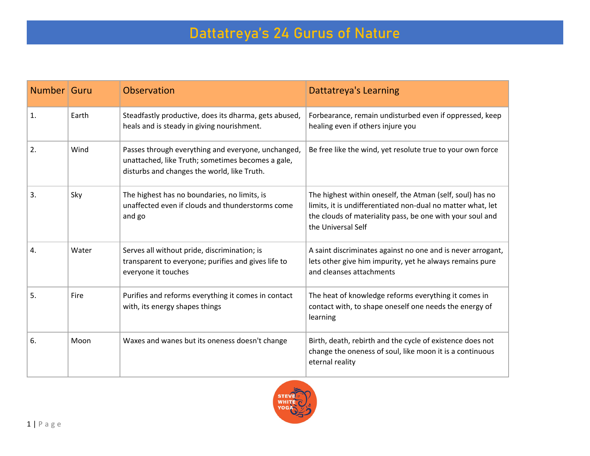| Number Guru |       | Observation                                                                                                                                            | <b>Dattatreya's Learning</b>                                                                                                                                                                                |
|-------------|-------|--------------------------------------------------------------------------------------------------------------------------------------------------------|-------------------------------------------------------------------------------------------------------------------------------------------------------------------------------------------------------------|
| 1.          | Earth | Steadfastly productive, does its dharma, gets abused,<br>heals and is steady in giving nourishment.                                                    | Forbearance, remain undisturbed even if oppressed, keep<br>healing even if others injure you                                                                                                                |
| 2.          | Wind  | Passes through everything and everyone, unchanged,<br>unattached, like Truth; sometimes becomes a gale,<br>disturbs and changes the world, like Truth. | Be free like the wind, yet resolute true to your own force                                                                                                                                                  |
| 3.          | Sky   | The highest has no boundaries, no limits, is<br>unaffected even if clouds and thunderstorms come<br>and go                                             | The highest within oneself, the Atman (self, soul) has no<br>limits, it is undifferentiated non-dual no matter what, let<br>the clouds of materiality pass, be one with your soul and<br>the Universal Self |
| 4.          | Water | Serves all without pride, discrimination; is<br>transparent to everyone; purifies and gives life to<br>everyone it touches                             | A saint discriminates against no one and is never arrogant,<br>lets other give him impurity, yet he always remains pure<br>and cleanses attachments                                                         |
| 5.          | Fire  | Purifies and reforms everything it comes in contact<br>with, its energy shapes things                                                                  | The heat of knowledge reforms everything it comes in<br>contact with, to shape oneself one needs the energy of<br>learning                                                                                  |
| 6.          | Moon  | Waxes and wanes but its oneness doesn't change                                                                                                         | Birth, death, rebirth and the cycle of existence does not<br>change the oneness of soul, like moon it is a continuous<br>eternal reality                                                                    |

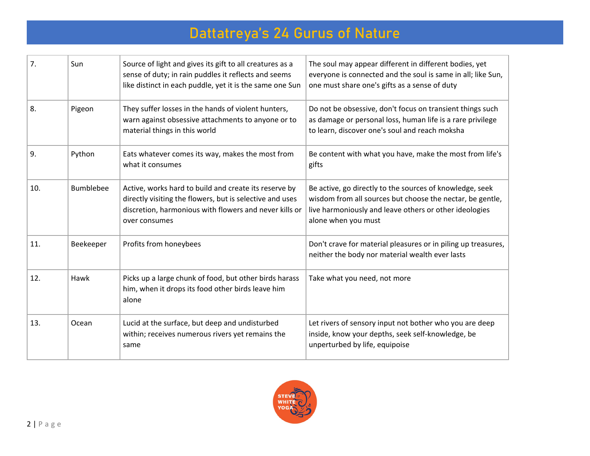| 7.  | Sun              | Source of light and gives its gift to all creatures as a<br>sense of duty; in rain puddles it reflects and seems<br>like distinct in each puddle, yet it is the same one Sun                 | The soul may appear different in different bodies, yet<br>everyone is connected and the soul is same in all; like Sun,<br>one must share one's gifts as a sense of duty                                |
|-----|------------------|----------------------------------------------------------------------------------------------------------------------------------------------------------------------------------------------|--------------------------------------------------------------------------------------------------------------------------------------------------------------------------------------------------------|
| 8.  | Pigeon           | They suffer losses in the hands of violent hunters,<br>warn against obsessive attachments to anyone or to<br>material things in this world                                                   | Do not be obsessive, don't focus on transient things such<br>as damage or personal loss, human life is a rare privilege<br>to learn, discover one's soul and reach moksha                              |
| 9.  | Python           | Eats whatever comes its way, makes the most from<br>what it consumes                                                                                                                         | Be content with what you have, make the most from life's<br>gifts                                                                                                                                      |
| 10. | <b>Bumblebee</b> | Active, works hard to build and create its reserve by<br>directly visiting the flowers, but is selective and uses<br>discretion, harmonious with flowers and never kills or<br>over consumes | Be active, go directly to the sources of knowledge, seek<br>wisdom from all sources but choose the nectar, be gentle,<br>live harmoniously and leave others or other ideologies<br>alone when you must |
| 11. | Beekeeper        | Profits from honeybees                                                                                                                                                                       | Don't crave for material pleasures or in piling up treasures,<br>neither the body nor material wealth ever lasts                                                                                       |
| 12. | Hawk             | Picks up a large chunk of food, but other birds harass<br>him, when it drops its food other birds leave him<br>alone                                                                         | Take what you need, not more                                                                                                                                                                           |
| 13. | Ocean            | Lucid at the surface, but deep and undisturbed<br>within; receives numerous rivers yet remains the<br>same                                                                                   | Let rivers of sensory input not bother who you are deep<br>inside, know your depths, seek self-knowledge, be<br>unperturbed by life, equipoise                                                         |

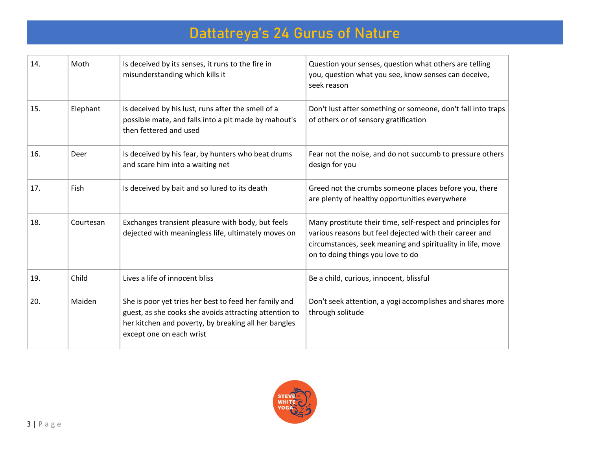| 14. | Moth      | Is deceived by its senses, it runs to the fire in<br>misunderstanding which kills it                                                                                                                | Question your senses, question what others are telling<br>you, question what you see, know senses can deceive,<br>seek reason                                                                                             |
|-----|-----------|-----------------------------------------------------------------------------------------------------------------------------------------------------------------------------------------------------|---------------------------------------------------------------------------------------------------------------------------------------------------------------------------------------------------------------------------|
| 15. | Elephant  | is deceived by his lust, runs after the smell of a<br>possible mate, and falls into a pit made by mahout's<br>then fettered and used                                                                | Don't lust after something or someone, don't fall into traps<br>of others or of sensory gratification                                                                                                                     |
| 16. | Deer      | Is deceived by his fear, by hunters who beat drums<br>and scare him into a waiting net                                                                                                              | Fear not the noise, and do not succumb to pressure others<br>design for you                                                                                                                                               |
| 17. | Fish      | Is deceived by bait and so lured to its death                                                                                                                                                       | Greed not the crumbs someone places before you, there<br>are plenty of healthy opportunities everywhere                                                                                                                   |
| 18. | Courtesan | Exchanges transient pleasure with body, but feels<br>dejected with meaningless life, ultimately moves on                                                                                            | Many prostitute their time, self-respect and principles for<br>various reasons but feel dejected with their career and<br>circumstances, seek meaning and spirituality in life, move<br>on to doing things you love to do |
| 19. | Child     | Lives a life of innocent bliss                                                                                                                                                                      | Be a child, curious, innocent, blissful                                                                                                                                                                                   |
| 20. | Maiden    | She is poor yet tries her best to feed her family and<br>guest, as she cooks she avoids attracting attention to<br>her kitchen and poverty, by breaking all her bangles<br>except one on each wrist | Don't seek attention, a yogi accomplishes and shares more<br>through solitude                                                                                                                                             |